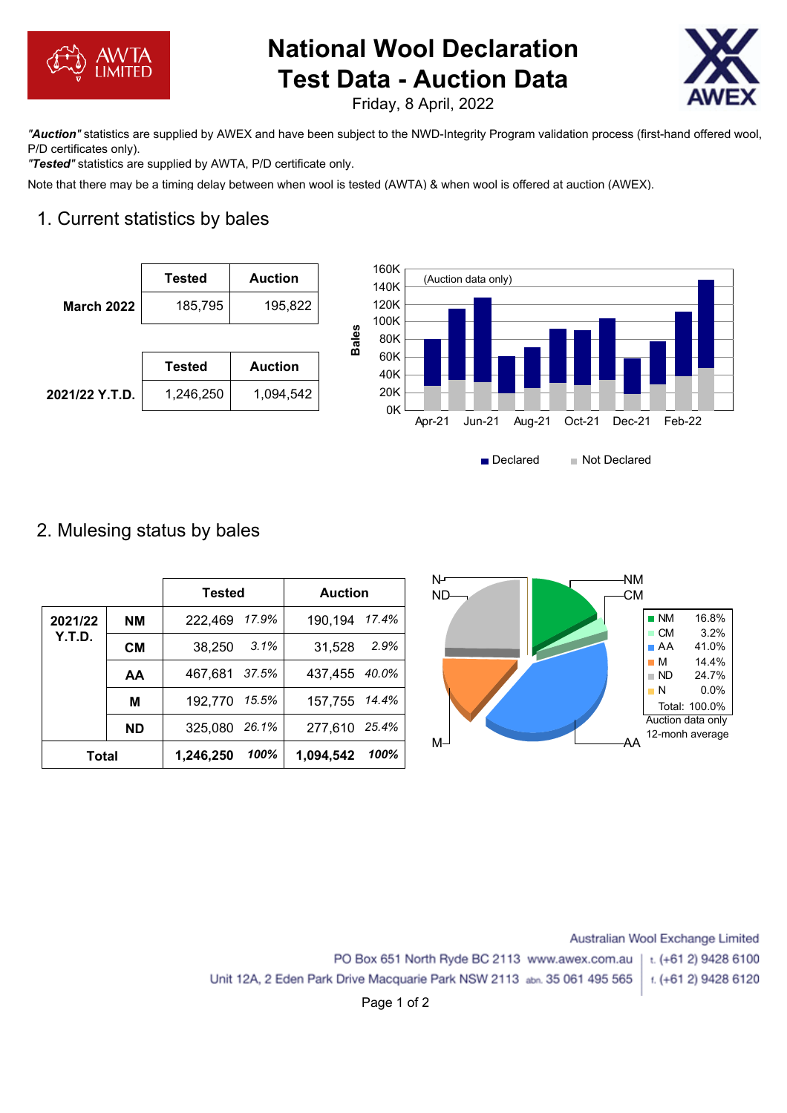

# **National Wool Declaration Test Data - Auction Data**



Friday, 8 April, 2022

*"Auction"* statistics are supplied by AWEX and have been subject to the NWD-Integrity Program validation process (first-hand offered wool, P/D certificates only).

*"Tested"* statistics are supplied by AWTA, P/D certificate only.

Note that there may be a timing delay between when wool is tested (AWTA) & when wool is offered at auction (AWEX).

## 1. Current statistics by bales





#### 2. Mulesing status by bales

|              |           | Tested    |       | <b>Auction</b> |       | N   | ΝM  |                   |                   |
|--------------|-----------|-----------|-------|----------------|-------|-----|-----|-------------------|-------------------|
|              |           |           |       |                |       | ND- | -CM |                   |                   |
| 2021/22      | <b>NM</b> | 222,469   | 17.9% | 190,194        | 17.4% |     |     | $\blacksquare$ NM | 16.8%             |
| Y.T.D.       |           |           |       |                |       |     |     | $\blacksquare$ CM | 3.2%              |
|              | <b>CM</b> | 38,250    | 3.1%  | 31,528         | 2.9%  |     |     | $\blacksquare$ AA | 41.0%             |
|              |           |           |       |                |       |     |     | $\blacksquare$ M  | 14.4%             |
|              | AA        | 467,681   | 37.5% | 437,455        | 40.0% |     |     | $\blacksquare$ ND | 24.7%             |
|              |           |           |       |                |       |     |     | $\blacksquare$ N  | $0.0\%$           |
|              | M         | 192,770   | 15.5% | 157,755        | 14.4% |     |     |                   | Total: 100.0%     |
|              |           |           |       |                |       |     |     |                   | Auction data only |
|              | <b>ND</b> | 325,080   | 26.1% | 277,610        | 25.4% |     |     |                   | 12-monh average   |
| <b>Total</b> |           | 1,246,250 | 100%  | 1,094,542      | 100%  | M–  | ΑA  |                   |                   |
|              |           |           |       |                |       |     |     |                   |                   |

Australian Wool Exchange Limited PO Box 651 North Ryde BC 2113 www.awex.com.au t. (+61 2) 9428 6100 Unit 12A, 2 Eden Park Drive Macquarie Park NSW 2113 abn. 35 061 495 565 t. (+61 2) 9428 6120

Page 1 of 2